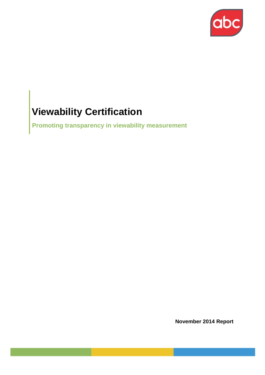

# **Viewability Certification**

**Promoting transparency in viewability measurement**

**November 2014 Report**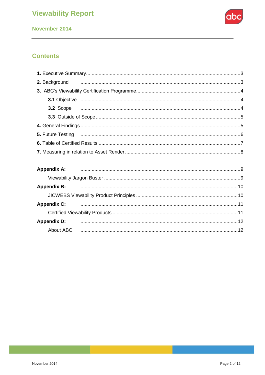

## **Contents**

|                    | 2. Background <b>contract and the contract of the contract of the contract of the contract of the contract of the contract of the contract of the contract of the contract of the contract of the contract of the contract of th</b> |  |
|--------------------|--------------------------------------------------------------------------------------------------------------------------------------------------------------------------------------------------------------------------------------|--|
|                    |                                                                                                                                                                                                                                      |  |
|                    |                                                                                                                                                                                                                                      |  |
|                    |                                                                                                                                                                                                                                      |  |
|                    |                                                                                                                                                                                                                                      |  |
|                    |                                                                                                                                                                                                                                      |  |
|                    |                                                                                                                                                                                                                                      |  |
|                    |                                                                                                                                                                                                                                      |  |
|                    |                                                                                                                                                                                                                                      |  |
| <b>Appendix A:</b> |                                                                                                                                                                                                                                      |  |
|                    |                                                                                                                                                                                                                                      |  |
| <b>Appendix B:</b> |                                                                                                                                                                                                                                      |  |
|                    |                                                                                                                                                                                                                                      |  |
| <b>Appendix C:</b> |                                                                                                                                                                                                                                      |  |
|                    |                                                                                                                                                                                                                                      |  |
| <b>Appendix D:</b> |                                                                                                                                                                                                                                      |  |
| About ABC          |                                                                                                                                                                                                                                      |  |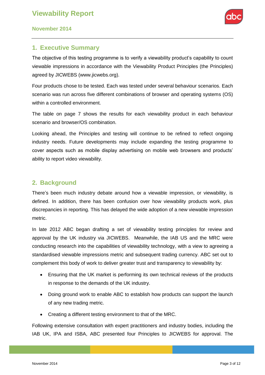

**November 2014**

### <span id="page-2-0"></span>**1. Executive Summary**

The objective of this testing programme is to verify a viewability product's capability to count viewable impressions in accordance with the Viewability Product Principles (the Principles) agreed by JICWEBS (www.jicwebs.org).

Four products chose to be tested. Each was tested under several behaviour scenarios. Each scenario was run across five different combinations of browser and operating systems (OS) within a controlled environment.

The table on page 7 shows the results for each viewability product in each behaviour scenario and browser/OS combination.

Looking ahead, the Principles and testing will continue to be refined to reflect ongoing industry needs. Future developments may include expanding the testing programme to cover aspects such as mobile display advertising on mobile web browsers and products" ability to report video viewability.

## **2. Background**

There's been much industry debate around how a viewable impression, or viewability, is defined. In addition, there has been confusion over how viewability products work, plus discrepancies in reporting. This has delayed the wide adoption of a new viewable impression metric.

In late 2012 ABC began drafting a set of viewability testing principles for review and approval by the UK industry via JICWEBS. Meanwhile, the IAB US and the MRC were conducting research into the capabilities of viewability technology, with a view to agreeing a standardised viewable impressions metric and subsequent trading currency. ABC set out to complement this body of work to deliver greater trust and transparency to viewability by:

- Ensuring that the UK market is performing its own technical reviews of the products in response to the demands of the UK industry.
- Doing ground work to enable ABC to establish how products can support the launch of any new trading metric.
- Creating a different testing environment to that of the MRC.

Following extensive consultation with expert practitioners and industry bodies, including the IAB UK, IPA and ISBA, ABC presented four Principles to JICWEBS for approval. The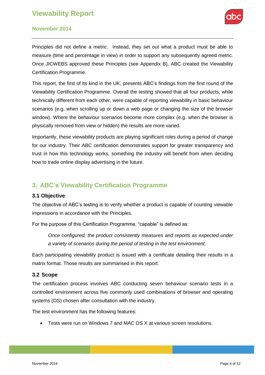

#### **November 2014**

Principles did not define a metric. Instead, they set out what a product must be able to measure (time and percentage in view) in order to support any subsequently agreed metric. Once JICWEBS approved these Principles (see Appendix B), ABC created the Viewability Certification Programme.

This report, the first of its kind in the UK, presents ABC"s findings from the first round of the Viewability Certification Programme. Overall the testing showed that all four products, while technically different from each other, were capable of reporting viewability in basic behaviour scenarios (e.g. when scrolling up or down a web page or changing the size of the browser window). Where the behaviour scenarios become more complex (e.g. when the browser is physically removed from view or hidden) the results are more varied.

Importantly, these viewability products are playing significant roles during a period of change for our industry. Their ABC certification demonstrates support for greater transparency and trust in how this technology works, something the industry will benefit from when deciding how to trade online display advertising in the future.

## <span id="page-3-0"></span>**3. ABC's Viewability Certification Programme**

#### **3.1 Objective**

The objective of ABC"s testing is to verify whether a product is capable of counting viewable impressions in accordance with the Principles.

For the purpose of this Certification Programme, "capable" is defined as:

*Once configured, the product consistently measures and reports as expected under a variety of scenarios during the period of testing in the test environment.* 

Each participating viewability product is issued with a certificate detailing their results in a matrix format. Those results are summarised in this report.

#### **3.2 Scope**

The certification process involves ABC conducting seven behaviour scenario tests in a controlled environment across five commonly used combinations of browser and operating systems (OS) chosen after consultation with the industry.

The test environment has the following features:

Tests were run on Windows 7 and MAC OS X at various screen resolutions.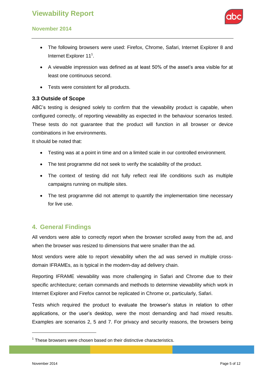

#### **November 2014**

- The following browsers were used: Firefox, Chrome, Safari, Internet Explorer 8 and Internet Explorer 11<sup>1</sup>.
- A viewable impression was defined as at least 50% of the asset"s area visible for at least one continuous second.
- Tests were consistent for all products.

#### **3.3 Outside of Scope**

ABC"s testing is designed solely to confirm that the viewability product is capable, when configured correctly, of reporting viewability as expected in the behaviour scenarios tested. These tests do not guarantee that the product will function in all browser or device combinations in live environments.

It should be noted that:

- Testing was at a point in time and on a limited scale in our controlled environment.
- The test programme did not seek to verify the scalability of the product.
- The context of testing did not fully reflect real life conditions such as multiple campaigns running on multiple sites.
- The test programme did not attempt to quantify the implementation time necessary for live use.

## <span id="page-4-0"></span>**4. General Findings**

All vendors were able to correctly report when the browser scrolled away from the ad, and when the browser was resized to dimensions that were smaller than the ad.

Most vendors were able to report viewability when the ad was served in multiple crossdomain IFRAMEs, as is typical in the modern-day ad delivery chain.

Reporting IFRAME viewability was more challenging in Safari and Chrome due to their specific architecture; certain commands and methods to determine viewability which work in Internet Explorer and Firefox cannot be replicated in Chrome or, particularly, Safari.

Tests which required the product to evaluate the browser"s status in relation to other applications, or the user"s desktop, were the most demanding and had mixed results. Examples are scenarios 2, 5 and 7. For privacy and security reasons, the browsers being

 $\overline{a}$ 

 $1$  These browsers were chosen based on their distinctive characteristics.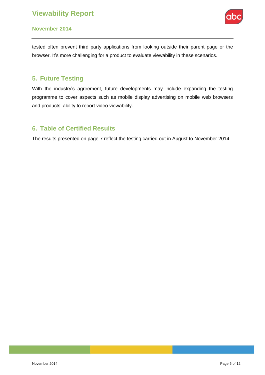

#### **November 2014**

tested often prevent third party applications from looking outside their parent page or the browser. It's more challenging for a product to evaluate viewability in these scenarios.

## <span id="page-5-0"></span>**5. Future Testing**

With the industry"s agreement, future developments may include expanding the testing programme to cover aspects such as mobile display advertising on mobile web browsers and products" ability to report video viewability.

## <span id="page-5-1"></span>**6. Table of Certified Results**

The results presented on page 7 reflect the testing carried out in August to November 2014.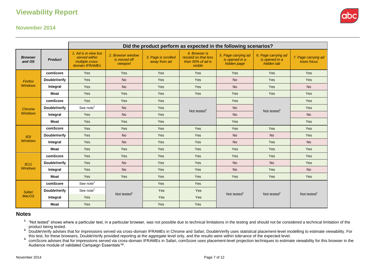

### **November 2014**

|                               |                     | Did the product perform as expected in the following scenarios?            |                                               |                                     |                                                                       |                                                      |                                                     |                                    |
|-------------------------------|---------------------|----------------------------------------------------------------------------|-----------------------------------------------|-------------------------------------|-----------------------------------------------------------------------|------------------------------------------------------|-----------------------------------------------------|------------------------------------|
| <b>Browser</b><br>and OS      | <b>Product</b>      | 1. Ad is in view but<br>served within<br>multiple cross-<br>domain IFRAMEs | 2. Browser window<br>is moved off<br>viewport | 3. Page is scrolled<br>away from ad | 4. Browser is<br>resized so that less<br>than 50% of ad is<br>visible | 5. Page carrying ad<br>is opened in a<br>hidden page | 6. Page carrying ad<br>is opened in a<br>hidden tab | 7. Page carrying ad<br>loses focus |
| Firefox<br><b>Windows</b>     | comScore            | Yes                                                                        | <b>Yes</b>                                    | Yes                                 | Yes                                                                   | Yes                                                  | Yes                                                 | Yes                                |
|                               | <b>DoubleVerify</b> | Yes                                                                        | <b>No</b>                                     | Yes                                 | Yes                                                                   | <b>No</b>                                            | Yes                                                 | <b>Yes</b>                         |
|                               | Integral            | Yes                                                                        | <b>No</b>                                     | Yes                                 | Yes                                                                   | <b>No</b>                                            | Yes                                                 | <b>No</b>                          |
|                               | <b>Moat</b>         | Yes                                                                        | Yes                                           | Yes                                 | Yes                                                                   | Yes                                                  | Yes                                                 | Yes                                |
| Chrome<br><b>Windows</b>      | comScore            | Yes                                                                        | Yes                                           | Yes                                 | Not tested <sup>1</sup>                                               | Yes                                                  | Not tested <sup>1</sup>                             | Yes                                |
|                               | <b>DoubleVerify</b> | See note <sup>2</sup>                                                      | <b>No</b>                                     | Yes                                 |                                                                       | <b>No</b>                                            |                                                     | Yes                                |
|                               | Integral            | Yes                                                                        | <b>No</b>                                     | Yes                                 |                                                                       | <b>No</b>                                            |                                                     | <b>No</b>                          |
|                               | <b>Moat</b>         | Yes                                                                        | Yes                                           | Yes                                 |                                                                       | Yes                                                  |                                                     | Yes                                |
| IE8<br><b>Windows</b>         | comScore            | Yes                                                                        | Yes                                           | Yes                                 | Yes                                                                   | Yes                                                  | Yes                                                 | Yes                                |
|                               | <b>DoubleVerify</b> | Yes                                                                        | <b>No</b>                                     | Yes                                 | Yes                                                                   | <b>No</b>                                            | <b>No</b>                                           | Yes                                |
|                               | Integral            | Yes                                                                        | <b>No</b>                                     | Yes                                 | Yes                                                                   | <b>No</b>                                            | Yes                                                 | <b>No</b>                          |
|                               | <b>Moat</b>         | Yes                                                                        | Yes                                           | Yes                                 | Yes                                                                   | Yes                                                  | Yes                                                 | Yes                                |
| IE11<br><b>Windows</b>        | comScore            | Yes                                                                        | Yes                                           | Yes                                 | Yes                                                                   | Yes                                                  | Yes                                                 | Yes                                |
|                               | <b>DoubleVerify</b> | Yes                                                                        | <b>No</b>                                     | Yes                                 | Yes                                                                   | <b>No</b>                                            | <b>No</b>                                           | Yes                                |
|                               | Integral            | Yes                                                                        | <b>No</b>                                     | Yes                                 | Yes                                                                   | <b>No</b>                                            | Yes                                                 | <b>No</b>                          |
|                               | <b>Moat</b>         | Yes                                                                        | Yes                                           | Yes                                 | Yes                                                                   | Yes                                                  | Yes                                                 | Yes                                |
| <b>Safari</b><br><b>MacOS</b> | comScore            | See note <sup>3</sup>                                                      | Not tested <sup>1</sup>                       | Yes                                 | Yes                                                                   | Not tested <sup>1</sup>                              | Not tested <sup>1</sup>                             | Not tested <sup>1</sup>            |
|                               | <b>DoubleVerify</b> | See note <sup>2</sup>                                                      |                                               | Yes                                 | Yes                                                                   |                                                      |                                                     |                                    |
|                               | Integral            | Yes                                                                        |                                               | Yes                                 | Yes                                                                   |                                                      |                                                     |                                    |
|                               | <b>Moat</b>         | Yes                                                                        |                                               | Yes                                 | Yes                                                                   |                                                      |                                                     |                                    |

#### **Notes**

<sup>1.</sup> "Not tested" shows where a particular test, in a particular browser, was not possible due to technical limitations in the testing and should not be considered a technical limitation of the product being tested.

<sup>2.</sup> DoubleVerify advises that for impressions served via cross-domain IFRAMEs in Chrome and Safari, DoubleVerify uses statistical placement-level modelling to estimate viewability. For this test, for these browsers, DoubleVerify provided reporting at the aggregate level only, and the results were within tolerance of the expected level.

<sup>3.</sup> comScore advises that for impressions served via cross-domain IFRAMEs in Safari, comScore uses placement-level projection techniques to estimate viewability for this browser in the Audience module of validated Campaign Essentials™.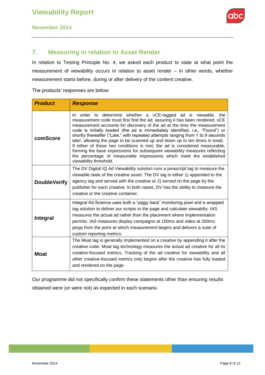**November 2014**



## <span id="page-7-0"></span>**7. Measuring in relation to Asset Render**

In relation to Testing Principle No. 4, we asked each product to state at what point the measurement of viewability occurs in relation to asset render – in other words, whether measurement starts before, during or after delivery of the content creative.

The products' responses are below:

| <b>Product</b>      | <b>Response</b>                                                                                                                                                                                                                                                                                                                                                                                                                                                                                                                                                                                                                                                                                                                             |  |  |  |
|---------------------|---------------------------------------------------------------------------------------------------------------------------------------------------------------------------------------------------------------------------------------------------------------------------------------------------------------------------------------------------------------------------------------------------------------------------------------------------------------------------------------------------------------------------------------------------------------------------------------------------------------------------------------------------------------------------------------------------------------------------------------------|--|--|--|
| comScore            | In order to determine whether a vCE-tagged ad is viewable, the<br>measurement code must first find the ad, assuring it has been rendered. vCE<br>measurement accounts for discovery of the ad at the time the measurement<br>code is initially loaded (the ad is immediately identified, i.e., "Found") or<br>shortly thereafter ("Late," with repeated attempts ranging from 1 to 9 seconds<br>later, allowing the page to be scanned up and down up to ten times in total).<br>If either of these two conditions is met, the ad is considered measurable,<br>forming the base impressions for subsequent viewability measures reflecting<br>the percentage of measurable impressions which meet the established<br>viewability threshold. |  |  |  |
| <b>DoubleVerify</b> | The DV Digital IQ Ad Viewability solution runs a javascript tag to measure the<br>viewable state of the creative asset. The DV tag is either 1) appended to the<br>agency tag and served with the creative or 2) served on the page by the<br>publisher for each creative. In both cases, DV has the ability to measure the<br>creative or the creative container.                                                                                                                                                                                                                                                                                                                                                                          |  |  |  |
| <b>Integral</b>     | Integral Ad Science uses both a "piggy back" monitoring pixel and a wrapped<br>tag solution to deliver our scripts to the page and calculate viewabilty. IAS<br>measures the actual ad rather than the placement where implementation<br>permits. IAS measures display campaigns at 100ms and video at 200ms<br>pings from the point at which measurement begins and delivers a suite of<br>custom reporting metrics.                                                                                                                                                                                                                                                                                                                       |  |  |  |
| <b>Moat</b>         | The Moat tag is generally implemented on a creative by appending it after the<br>creative code. Moat tag technology measures the actual ad creative for all its<br>creative-focused metrics. Tracking of the ad creative for viewability and all<br>other creative-focused metrics only begins after the creative has fully loaded<br>and rendered on the page.                                                                                                                                                                                                                                                                                                                                                                             |  |  |  |

Our programme did not specifically confirm these statements other than ensuring results obtained were (or were not) as expected in each scenario.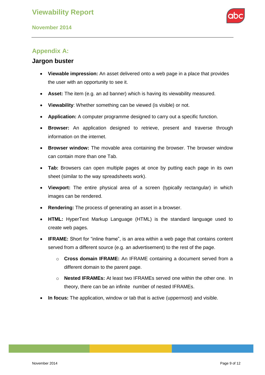

## **Appendix A:**

### **Jargon buster**

- **Viewable impression:** An asset delivered onto a web page in a place that provides the user with an opportunity to see it.
- **Asset:** The item (e.g. an ad banner) which is having its viewability measured.
- **Viewability**: Whether something can be viewed (is visible) or not.
- **Application:** A computer programme designed to carry out a specific function.
- **Browser:** An application designed to retrieve, present and traverse through information on the internet.
- **Browser window:** The movable area containing the browser. The browser window can contain more than one Tab.
- **Tab:** Browsers can open multiple pages at once by putting each page in its own sheet (similar to the way spreadsheets work).
- **Viewport:** The entire physical area of a screen (typically rectangular) in which images can be rendered.
- **Rendering:** The process of generating an asset in a browser.
- **HTML:** HyperText Markup Language (HTML) is the standard language used to create web pages.
- **IFRAME:** Short for "inline frame", is an area within a web page that contains content served from a different source (e.g. an advertisement) to the rest of the page.
	- o **Cross domain IFRAME:** An IFRAME containing a document served from a different domain to the parent page.
	- o **Nested IFRAMEs:** At least two IFRAMEs served one within the other one. In theory, there can be an infinite number of nested IFRAMEs.
- **In focus:** The application, window or tab that is active (uppermost) and visible.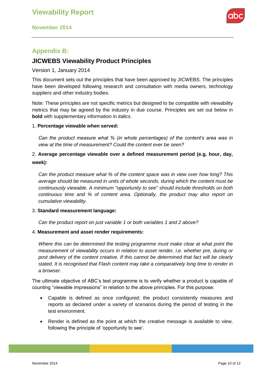

## <span id="page-9-1"></span>**Appendix B:**

## <span id="page-9-2"></span>**JICWEBS Viewability Product Principles**

Version 1, January 2014

This document sets out the principles that have been approved by JICWEBS. The principles have been developed following research and consultation with media owners, technology suppliers and other industry bodies.

Note: These principles are not specific metrics but designed to be compatible with viewability metrics that may be agreed by the industry in due course. Principles are set out below in **bold** with supplementary information in *italics*.

#### 1. **Percentage viewable when served:**

*Can the product measure what % (in whole percentages) of the content's area was in view at the time of measurement? Could the content ever be seen?* 

### 2. **Average percentage viewable over a defined measurement period (e.g. hour, day, week):**

*Can the product measure what % of the content space was in view over how long? This average should be measured in units of whole seconds, during which the content must be continuously viewable. A minimum "opportunity to see" should include thresholds on both continuous time and % of content area. Optionally, the product may also report on cumulative viewability.* 

#### 3. **Standard measurement language:**

*Can the product report on just variable 1 or both variables 1 and 2 above?* 

#### 4. **Measurement and asset render requirements:**

*Where this can be determined the testing programme must make clear at what point the measurement of viewability occurs in relation to asset render, i.e. whether pre, during or post delivery of the content creative. If this cannot be determined that fact will be clearly stated. It is recognised that Flash content may take a comparatively long time to render in a browser.* 

The ultimate objective of ABC"s test programme is to verify whether a product is capable of counting "viewable impressions" in relation to the above principles. For this purpose:

- Capable is defined as once configured; the product consistently measures and reports as declared under a variety of scenarios during the period of testing in the test environment.
- <span id="page-9-0"></span> Render is defined as the point at which the creative message is available to view, following the principle of 'opportunity to see'.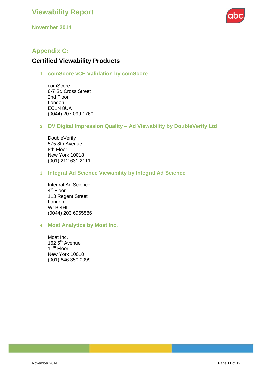**November 2014**



## **Appendix C:**

### **Certified Viewability Products**

**1. [comScore vCE Validation by comScore](http://www.abc.org.uk/Products-Services/Product-Page/?tid=22622)**

comScore 6-7 St. Cross Street 2nd Floor London EC1N 8UA (0044) 207 099 1760

**2. DV Digital Impression Quality – Ad Viewability [by DoubleVerify](http://www.abc.org.uk/Products-Services/Product-Page/?tid=22748) Ltd**

DoubleVerify 575 8th Avenue 8th Floor New York 10018 (001) 212 631 2111

**3. [Integral Ad Science Viewability by Integral Ad Science](http://www.abc.org.uk/Products-Services/Product-Page/?tid=22775)**

Integral Ad Science 4<sup>th</sup> Floor 113 Regent Street London W1B 4HL (0044) 203 6965586

#### **4. Moat Analytics by Moat Inc.**

Moat Inc. 162 5<sup>th</sup> Avenue 11<sup>th</sup> Floor New York 10010 (001) 646 350 0099